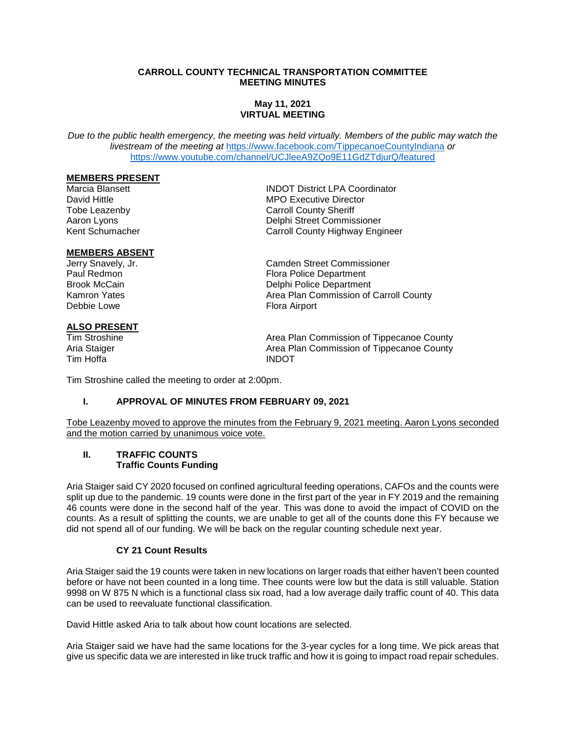#### **CARROLL COUNTY TECHNICAL TRANSPORTATION COMMITTEE MEETING MINUTES**

# **May 11, 2021 VIRTUAL MEETING**

*Due to the public health emergency, the meeting was held virtually. Members of the public may watch the livestream of the meeting at* <https://www.facebook.com/TippecanoeCountyIndiana> *or* <https://www.youtube.com/channel/UCJleeA9ZQo9E11GdZTdjurQ/featured>

# **MEMBERS PRESENT**

#### **MEMBERS ABSENT**

# **ALSO PRESENT**<br>Tim Stroshine

Tim Hoffa **INDOT** 

Marcia Blansett **INDOT District LPA Coordinator**<br>
INDOT District LPA Coordinator<br>
MPO Executive Director **MPO Executive Director** Tobe Leazenby **Carroll County Sheriff**<br>
Aaron Lyons<br>
Delphi Street Commis Aaron Lyons<br>
Kent Schumacher<br>
Kent Schumacher<br>
Carroll County Highway Fog Carroll County Highway Engineer

Jerry Snavely, Jr. Camden Street Commissioner Paul Redmon Flora Police Department<br>
Brook McCain Flora Police Department Brook McCain **Brook McCain** Delphi Police Department<br>
Kamron Yates **Delphi Police Department** Kamron Yates **Area Plan Commission of Carroll County**<br>
Republic Lowe<br> **Area Airport** Flora Airport

Area Plan Commission of Tippecanoe County Aria Staiger **Aria Staiger** Area Plan Commission of Tippecanoe County

Tim Stroshine called the meeting to order at 2:00pm.

### **I. APPROVAL OF MINUTES FROM FEBRUARY 09, 2021**

Tobe Leazenby moved to approve the minutes from the February 9, 2021 meeting. Aaron Lyons seconded and the motion carried by unanimous voice vote.

#### **II. TRAFFIC COUNTS Traffic Counts Funding**

Aria Staiger said CY 2020 focused on confined agricultural feeding operations, CAFOs and the counts were split up due to the pandemic. 19 counts were done in the first part of the year in FY 2019 and the remaining 46 counts were done in the second half of the year. This was done to avoid the impact of COVID on the counts. As a result of splitting the counts, we are unable to get all of the counts done this FY because we did not spend all of our funding. We will be back on the regular counting schedule next year.

#### **CY 21 Count Results**

Aria Staiger said the 19 counts were taken in new locations on larger roads that either haven't been counted before or have not been counted in a long time. Thee counts were low but the data is still valuable. Station 9998 on W 875 N which is a functional class six road, had a low average daily traffic count of 40. This data can be used to reevaluate functional classification.

David Hittle asked Aria to talk about how count locations are selected.

Aria Staiger said we have had the same locations for the 3-year cycles for a long time. We pick areas that give us specific data we are interested in like truck traffic and how it is going to impact road repair schedules.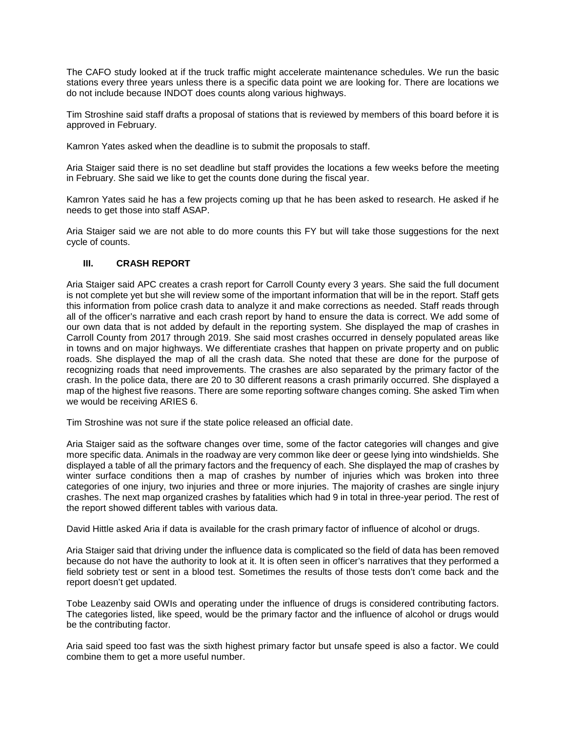The CAFO study looked at if the truck traffic might accelerate maintenance schedules. We run the basic stations every three years unless there is a specific data point we are looking for. There are locations we do not include because INDOT does counts along various highways.

Tim Stroshine said staff drafts a proposal of stations that is reviewed by members of this board before it is approved in February.

Kamron Yates asked when the deadline is to submit the proposals to staff.

Aria Staiger said there is no set deadline but staff provides the locations a few weeks before the meeting in February. She said we like to get the counts done during the fiscal year.

Kamron Yates said he has a few projects coming up that he has been asked to research. He asked if he needs to get those into staff ASAP.

Aria Staiger said we are not able to do more counts this FY but will take those suggestions for the next cycle of counts.

#### **III. CRASH REPORT**

Aria Staiger said APC creates a crash report for Carroll County every 3 years. She said the full document is not complete yet but she will review some of the important information that will be in the report. Staff gets this information from police crash data to analyze it and make corrections as needed. Staff reads through all of the officer's narrative and each crash report by hand to ensure the data is correct. We add some of our own data that is not added by default in the reporting system. She displayed the map of crashes in Carroll County from 2017 through 2019. She said most crashes occurred in densely populated areas like in towns and on major highways. We differentiate crashes that happen on private property and on public roads. She displayed the map of all the crash data. She noted that these are done for the purpose of recognizing roads that need improvements. The crashes are also separated by the primary factor of the crash. In the police data, there are 20 to 30 different reasons a crash primarily occurred. She displayed a map of the highest five reasons. There are some reporting software changes coming. She asked Tim when we would be receiving ARIES 6.

Tim Stroshine was not sure if the state police released an official date.

Aria Staiger said as the software changes over time, some of the factor categories will changes and give more specific data. Animals in the roadway are very common like deer or geese lying into windshields. She displayed a table of all the primary factors and the frequency of each. She displayed the map of crashes by winter surface conditions then a map of crashes by number of injuries which was broken into three categories of one injury, two injuries and three or more injuries. The majority of crashes are single injury crashes. The next map organized crashes by fatalities which had 9 in total in three-year period. The rest of the report showed different tables with various data.

David Hittle asked Aria if data is available for the crash primary factor of influence of alcohol or drugs.

Aria Staiger said that driving under the influence data is complicated so the field of data has been removed because do not have the authority to look at it. It is often seen in officer's narratives that they performed a field sobriety test or sent in a blood test. Sometimes the results of those tests don't come back and the report doesn't get updated.

Tobe Leazenby said OWIs and operating under the influence of drugs is considered contributing factors. The categories listed, like speed, would be the primary factor and the influence of alcohol or drugs would be the contributing factor.

Aria said speed too fast was the sixth highest primary factor but unsafe speed is also a factor. We could combine them to get a more useful number.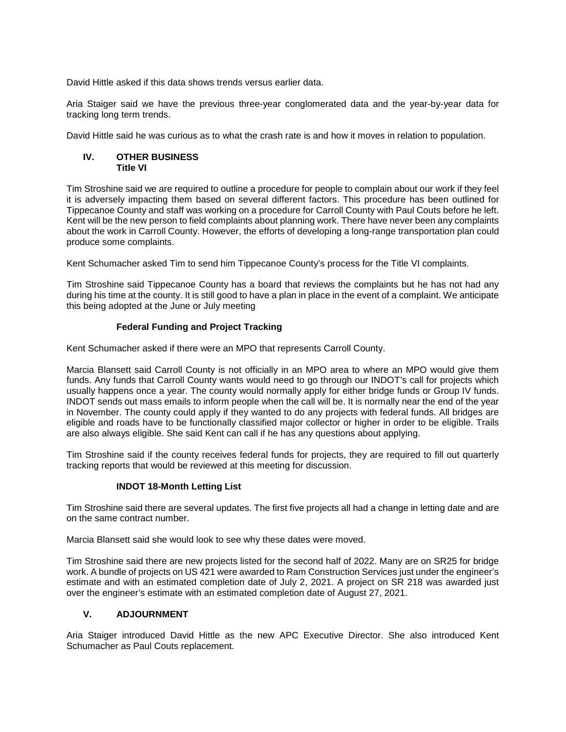David Hittle asked if this data shows trends versus earlier data.

Aria Staiger said we have the previous three-year conglomerated data and the year-by-year data for tracking long term trends.

David Hittle said he was curious as to what the crash rate is and how it moves in relation to population.

#### **IV. OTHER BUSINESS Title VI**

Tim Stroshine said we are required to outline a procedure for people to complain about our work if they feel it is adversely impacting them based on several different factors. This procedure has been outlined for Tippecanoe County and staff was working on a procedure for Carroll County with Paul Couts before he left. Kent will be the new person to field complaints about planning work. There have never been any complaints about the work in Carroll County. However, the efforts of developing a long-range transportation plan could produce some complaints.

Kent Schumacher asked Tim to send him Tippecanoe County's process for the Title VI complaints.

Tim Stroshine said Tippecanoe County has a board that reviews the complaints but he has not had any during his time at the county. It is still good to have a plan in place in the event of a complaint. We anticipate this being adopted at the June or July meeting

#### **Federal Funding and Project Tracking**

Kent Schumacher asked if there were an MPO that represents Carroll County.

Marcia Blansett said Carroll County is not officially in an MPO area to where an MPO would give them funds. Any funds that Carroll County wants would need to go through our INDOT's call for projects which usually happens once a year. The county would normally apply for either bridge funds or Group IV funds. INDOT sends out mass emails to inform people when the call will be. It is normally near the end of the year in November. The county could apply if they wanted to do any projects with federal funds. All bridges are eligible and roads have to be functionally classified major collector or higher in order to be eligible. Trails are also always eligible. She said Kent can call if he has any questions about applying.

Tim Stroshine said if the county receives federal funds for projects, they are required to fill out quarterly tracking reports that would be reviewed at this meeting for discussion.

## **INDOT 18-Month Letting List**

Tim Stroshine said there are several updates. The first five projects all had a change in letting date and are on the same contract number.

Marcia Blansett said she would look to see why these dates were moved.

Tim Stroshine said there are new projects listed for the second half of 2022. Many are on SR25 for bridge work. A bundle of projects on US 421 were awarded to Ram Construction Services just under the engineer's estimate and with an estimated completion date of July 2, 2021. A project on SR 218 was awarded just over the engineer's estimate with an estimated completion date of August 27, 2021.

## **V. ADJOURNMENT**

Aria Staiger introduced David Hittle as the new APC Executive Director. She also introduced Kent Schumacher as Paul Couts replacement.